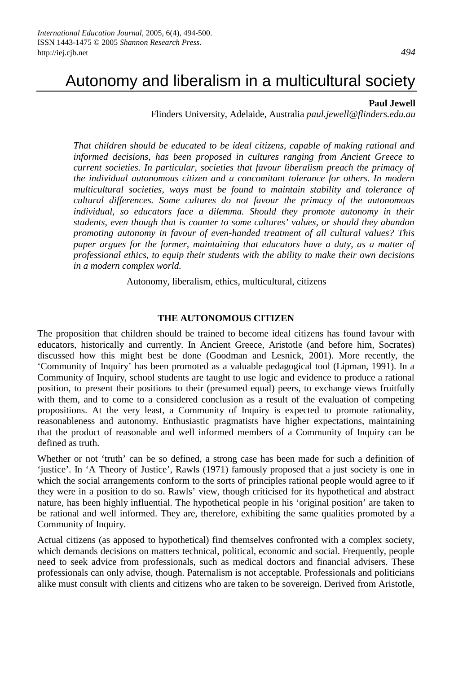# Autonomy and liberalism in a multicultural society

#### **Paul Jewell**

Flinders University, Adelaide, Australia *paul.jewell@flinders.edu.au*

*That children should be educated to be ideal citizens, capable of making rational and informed decisions, has been proposed in cultures ranging from Ancient Greece to current societies. In particular, societies that favour liberalism preach the primacy of the individual autonomous citizen and a concomitant tolerance for others. In modern multicultural societies, ways must be found to maintain stability and tolerance of cultural differences. Some cultures do not favour the primacy of the autonomous individual, so educators face a dilemma. Should they promote autonomy in their students, even though that is counter to some cultures' values, or should they abandon promoting autonomy in favour of even-handed treatment of all cultural values? This paper argues for the former, maintaining that educators have a duty, as a matter of professional ethics, to equip their students with the ability to make their own decisions in a modern complex world.* 

Autonomy, liberalism, ethics, multicultural, citizens

#### **THE AUTONOMOUS CITIZEN**

The proposition that children should be trained to become ideal citizens has found favour with educators, historically and currently. In Ancient Greece, Aristotle (and before him, Socrates) discussed how this might best be done (Goodman and Lesnick, 2001). More recently, the 'Community of Inquiry' has been promoted as a valuable pedagogical tool (Lipman, 1991). In a Community of Inquiry, school students are taught to use logic and evidence to produce a rational position, to present their positions to their (presumed equal) peers, to exchange views fruitfully with them, and to come to a considered conclusion as a result of the evaluation of competing propositions. At the very least, a Community of Inquiry is expected to promote rationality, reasonableness and autonomy. Enthusiastic pragmatists have higher expectations, maintaining that the product of reasonable and well informed members of a Community of Inquiry can be defined as truth.

Whether or not 'truth' can be so defined, a strong case has been made for such a definition of 'justice'. In 'A Theory of Justice', Rawls (1971) famously proposed that a just society is one in which the social arrangements conform to the sorts of principles rational people would agree to if they were in a position to do so. Rawls' view, though criticised for its hypothetical and abstract nature, has been highly influential. The hypothetical people in his 'original position' are taken to be rational and well informed. They are, therefore, exhibiting the same qualities promoted by a Community of Inquiry.

Actual citizens (as apposed to hypothetical) find themselves confronted with a complex society, which demands decisions on matters technical, political, economic and social. Frequently, people need to seek advice from professionals, such as medical doctors and financial advisers. These professionals can only advise, though. Paternalism is not acceptable. Professionals and politicians alike must consult with clients and citizens who are taken to be sovereign. Derived from Aristotle,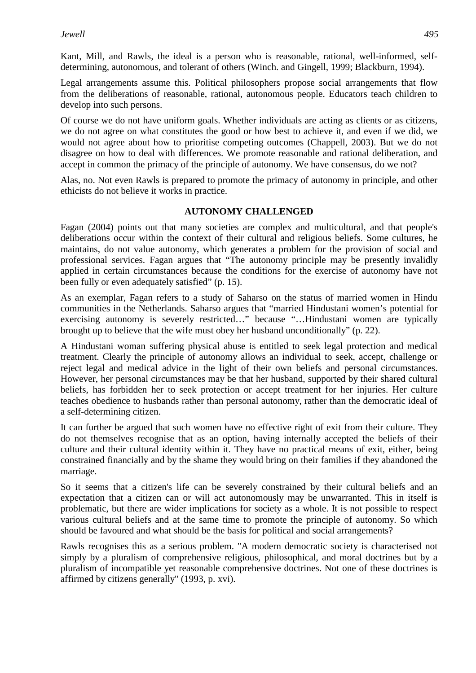Kant, Mill, and Rawls, the ideal is a person who is reasonable, rational, well-informed, selfdetermining, autonomous, and tolerant of others (Winch. and Gingell, 1999; Blackburn, 1994).

Legal arrangements assume this. Political philosophers propose social arrangements that flow from the deliberations of reasonable, rational, autonomous people. Educators teach children to develop into such persons.

Of course we do not have uniform goals. Whether individuals are acting as clients or as citizens, we do not agree on what constitutes the good or how best to achieve it, and even if we did, we would not agree about how to prioritise competing outcomes (Chappell, 2003). But we do not disagree on how to deal with differences. We promote reasonable and rational deliberation, and accept in common the primacy of the principle of autonomy. We have consensus, do we not?

Alas, no. Not even Rawls is prepared to promote the primacy of autonomy in principle, and other ethicists do not believe it works in practice.

## **AUTONOMY CHALLENGED**

Fagan (2004) points out that many societies are complex and multicultural, and that people's deliberations occur within the context of their cultural and religious beliefs. Some cultures, he maintains, do not value autonomy, which generates a problem for the provision of social and professional services. Fagan argues that "The autonomy principle may be presently invalidly applied in certain circumstances because the conditions for the exercise of autonomy have not been fully or even adequately satisfied" (p. 15).

As an exemplar, Fagan refers to a study of Saharso on the status of married women in Hindu communities in the Netherlands. Saharso argues that "married Hindustani women's potential for exercising autonomy is severely restricted…" because "…Hindustani women are typically brought up to believe that the wife must obey her husband unconditionally" (p. 22).

A Hindustani woman suffering physical abuse is entitled to seek legal protection and medical treatment. Clearly the principle of autonomy allows an individual to seek, accept, challenge or reject legal and medical advice in the light of their own beliefs and personal circumstances. However, her personal circumstances may be that her husband, supported by their shared cultural beliefs, has forbidden her to seek protection or accept treatment for her injuries. Her culture teaches obedience to husbands rather than personal autonomy, rather than the democratic ideal of a self-determining citizen.

It can further be argued that such women have no effective right of exit from their culture. They do not themselves recognise that as an option, having internally accepted the beliefs of their culture and their cultural identity within it. They have no practical means of exit, either, being constrained financially and by the shame they would bring on their families if they abandoned the marriage.

So it seems that a citizen's life can be severely constrained by their cultural beliefs and an expectation that a citizen can or will act autonomously may be unwarranted. This in itself is problematic, but there are wider implications for society as a whole. It is not possible to respect various cultural beliefs and at the same time to promote the principle of autonomy. So which should be favoured and what should be the basis for political and social arrangements?

Rawls recognises this as a serious problem. "A modern democratic society is characterised not simply by a pluralism of comprehensive religious, philosophical, and moral doctrines but by a pluralism of incompatible yet reasonable comprehensive doctrines. Not one of these doctrines is affirmed by citizens generally" (1993, p. xvi).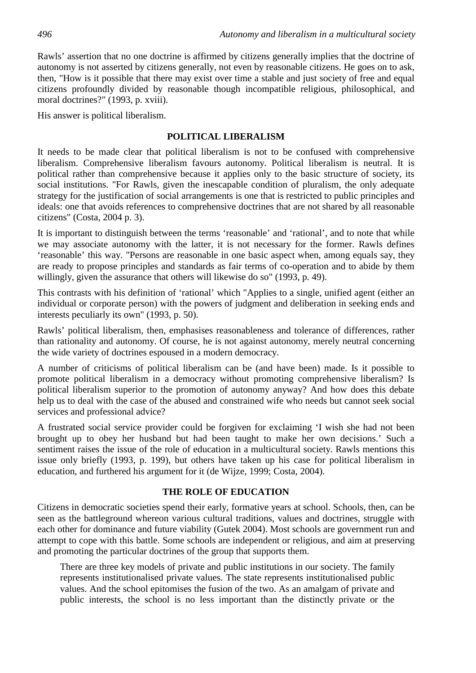Rawls' assertion that no one doctrine is affirmed by citizens generally implies that the doctrine of autonomy is not asserted by citizens generally, not even by reasonable citizens. He goes on to ask, then, "How is it possible that there may exist over time a stable and just society of free and equal citizens profoundly divided by reasonable though incompatible religious, philosophical, and moral doctrines?" (1993, p. xviii).

His answer is political liberalism.

#### **POLITICAL LIBERALISM**

It needs to be made clear that political liberalism is not to be confused with comprehensive liberalism. Comprehensive liberalism favours autonomy. Political liberalism is neutral. It is political rather than comprehensive because it applies only to the basic structure of society, its social institutions. "For Rawls, given the inescapable condition of pluralism, the only adequate strategy for the justification of social arrangements is one that is restricted to public principles and ideals: one that avoids references to comprehensive doctrines that are not shared by all reasonable citizens" (Costa, 2004 p. 3).

It is important to distinguish between the terms 'reasonable' and 'rational', and to note that while we may associate autonomy with the latter, it is not necessary for the former. Rawls defines 'reasonable' this way. "Persons are reasonable in one basic aspect when, among equals say, they are ready to propose principles and standards as fair terms of co-operation and to abide by them willingly, given the assurance that others will likewise do so" (1993, p. 49).

This contrasts with his definition of 'rational' which "Applies to a single, unified agent (either an individual or corporate person) with the powers of judgment and deliberation in seeking ends and interests peculiarly its own" (1993, p. 50).

Rawls' political liberalism, then, emphasises reasonableness and tolerance of differences, rather than rationality and autonomy. Of course, he is not against autonomy, merely neutral concerning the wide variety of doctrines espoused in a modern democracy.

A number of criticisms of political liberalism can be (and have been) made. Is it possible to promote political liberalism in a democracy without promoting comprehensive liberalism? Is political liberalism superior to the promotion of autonomy anyway? And how does this debate help us to deal with the case of the abused and constrained wife who needs but cannot seek social services and professional advice?

A frustrated social service provider could be forgiven for exclaiming 'I wish she had not been brought up to obey her husband but had been taught to make her own decisions.' Such a sentiment raises the issue of the role of education in a multicultural society. Rawls mentions this issue only briefly (1993, p. 199), but others have taken up his case for political liberalism in education, and furthered his argument for it (de Wijze, 1999; Costa, 2004).

### **THE ROLE OF EDUCATION**

Citizens in democratic societies spend their early, formative years at school. Schools, then, can be seen as the battleground whereon various cultural traditions, values and doctrines, struggle with each other for dominance and future viability (Gutek 2004). Most schools are government run and attempt to cope with this battle. Some schools are independent or religious, and aim at preserving and promoting the particular doctrines of the group that supports them.

There are three key models of private and public institutions in our society. The family represents institutionalised private values. The state represents institutionalised public values. And the school epitomises the fusion of the two. As an amalgam of private and public interests, the school is no less important than the distinctly private or the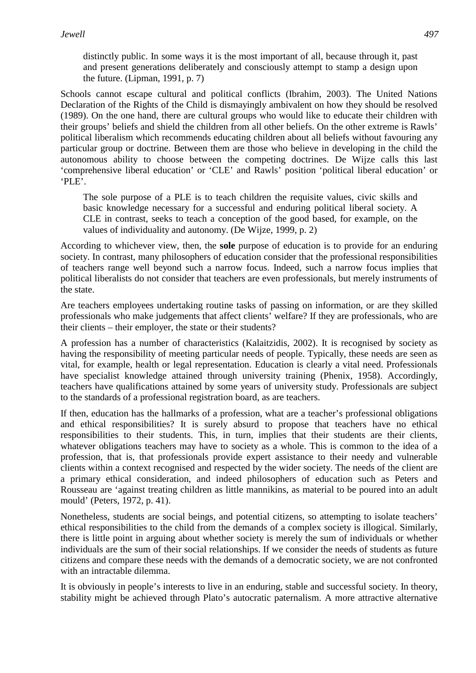distinctly public. In some ways it is the most important of all, because through it, past and present generations deliberately and consciously attempt to stamp a design upon the future. (Lipman, 1991, p. 7)

Schools cannot escape cultural and political conflicts (Ibrahim, 2003). The United Nations Declaration of the Rights of the Child is dismayingly ambivalent on how they should be resolved (1989). On the one hand, there are cultural groups who would like to educate their children with their groups' beliefs and shield the children from all other beliefs. On the other extreme is Rawls' political liberalism which recommends educating children about all beliefs without favouring any particular group or doctrine. Between them are those who believe in developing in the child the autonomous ability to choose between the competing doctrines. De Wijze calls this last 'comprehensive liberal education' or 'CLE' and Rawls' position 'political liberal education' or 'PLE'.

The sole purpose of a PLE is to teach children the requisite values, civic skills and basic knowledge necessary for a successful and enduring political liberal society. A CLE in contrast, seeks to teach a conception of the good based, for example, on the values of individuality and autonomy. (De Wijze, 1999, p. 2)

According to whichever view, then, the **sole** purpose of education is to provide for an enduring society. In contrast, many philosophers of education consider that the professional responsibilities of teachers range well beyond such a narrow focus. Indeed, such a narrow focus implies that political liberalists do not consider that teachers are even professionals, but merely instruments of the state.

Are teachers employees undertaking routine tasks of passing on information, or are they skilled professionals who make judgements that affect clients' welfare? If they are professionals, who are their clients – their employer, the state or their students?

A profession has a number of characteristics (Kalaitzidis, 2002). It is recognised by society as having the responsibility of meeting particular needs of people. Typically, these needs are seen as vital, for example, health or legal representation. Education is clearly a vital need. Professionals have specialist knowledge attained through university training (Phenix, 1958). Accordingly, teachers have qualifications attained by some years of university study. Professionals are subject to the standards of a professional registration board, as are teachers.

If then, education has the hallmarks of a profession, what are a teacher's professional obligations and ethical responsibilities? It is surely absurd to propose that teachers have no ethical responsibilities to their students. This, in turn, implies that their students are their clients, whatever obligations teachers may have to society as a whole. This is common to the idea of a profession, that is, that professionals provide expert assistance to their needy and vulnerable clients within a context recognised and respected by the wider society. The needs of the client are a primary ethical consideration, and indeed philosophers of education such as Peters and Rousseau are 'against treating children as little mannikins, as material to be poured into an adult mould' (Peters, 1972, p. 41).

Nonetheless, students are social beings, and potential citizens, so attempting to isolate teachers' ethical responsibilities to the child from the demands of a complex society is illogical. Similarly, there is little point in arguing about whether society is merely the sum of individuals or whether individuals are the sum of their social relationships. If we consider the needs of students as future citizens and compare these needs with the demands of a democratic society, we are not confronted with an intractable dilemma.

It is obviously in people's interests to live in an enduring, stable and successful society. In theory, stability might be achieved through Plato's autocratic paternalism. A more attractive alternative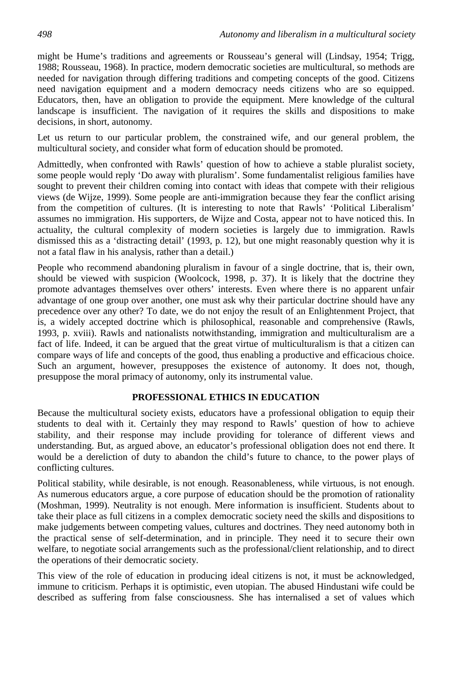might be Hume's traditions and agreements or Rousseau's general will (Lindsay, 1954; Trigg, 1988; Rousseau, 1968). In practice, modern democratic societies are multicultural, so methods are needed for navigation through differing traditions and competing concepts of the good. Citizens need navigation equipment and a modern democracy needs citizens who are so equipped. Educators, then, have an obligation to provide the equipment. Mere knowledge of the cultural landscape is insufficient. The navigation of it requires the skills and dispositions to make decisions, in short, autonomy.

Let us return to our particular problem, the constrained wife, and our general problem, the multicultural society, and consider what form of education should be promoted.

Admittedly, when confronted with Rawls' question of how to achieve a stable pluralist society, some people would reply 'Do away with pluralism'. Some fundamentalist religious families have sought to prevent their children coming into contact with ideas that compete with their religious views (de Wijze, 1999). Some people are anti-immigration because they fear the conflict arising from the competition of cultures. (It is interesting to note that Rawls' 'Political Liberalism' assumes no immigration. His supporters, de Wijze and Costa, appear not to have noticed this. In actuality, the cultural complexity of modern societies is largely due to immigration. Rawls dismissed this as a 'distracting detail' (1993, p. 12), but one might reasonably question why it is not a fatal flaw in his analysis, rather than a detail.)

People who recommend abandoning pluralism in favour of a single doctrine, that is, their own, should be viewed with suspicion (Woolcock, 1998, p. 37). It is likely that the doctrine they promote advantages themselves over others' interests. Even where there is no apparent unfair advantage of one group over another, one must ask why their particular doctrine should have any precedence over any other? To date, we do not enjoy the result of an Enlightenment Project, that is, a widely accepted doctrine which is philosophical, reasonable and comprehensive (Rawls, 1993, p. xviii). Rawls and nationalists notwithstanding, immigration and multiculturalism are a fact of life. Indeed, it can be argued that the great virtue of multiculturalism is that a citizen can compare ways of life and concepts of the good, thus enabling a productive and efficacious choice. Such an argument, however, presupposes the existence of autonomy. It does not, though, presuppose the moral primacy of autonomy, only its instrumental value.

# **PROFESSIONAL ETHICS IN EDUCATION**

Because the multicultural society exists, educators have a professional obligation to equip their students to deal with it. Certainly they may respond to Rawls' question of how to achieve stability, and their response may include providing for tolerance of different views and understanding. But, as argued above, an educator's professional obligation does not end there. It would be a dereliction of duty to abandon the child's future to chance, to the power plays of conflicting cultures.

Political stability, while desirable, is not enough. Reasonableness, while virtuous, is not enough. As numerous educators argue, a core purpose of education should be the promotion of rationality (Moshman, 1999). Neutrality is not enough. Mere information is insufficient. Students about to take their place as full citizens in a complex democratic society need the skills and dispositions to make judgements between competing values, cultures and doctrines. They need autonomy both in the practical sense of self-determination, and in principle. They need it to secure their own welfare, to negotiate social arrangements such as the professional/client relationship, and to direct the operations of their democratic society.

This view of the role of education in producing ideal citizens is not, it must be acknowledged, immune to criticism. Perhaps it is optimistic, even utopian. The abused Hindustani wife could be described as suffering from false consciousness. She has internalised a set of values which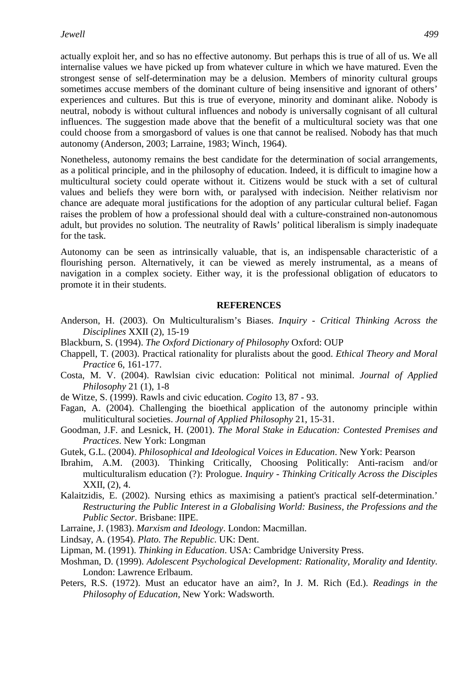actually exploit her, and so has no effective autonomy. But perhaps this is true of all of us. We all internalise values we have picked up from whatever culture in which we have matured. Even the strongest sense of self-determination may be a delusion. Members of minority cultural groups sometimes accuse members of the dominant culture of being insensitive and ignorant of others' experiences and cultures. But this is true of everyone, minority and dominant alike. Nobody is neutral, nobody is without cultural influences and nobody is universally cognisant of all cultural influences. The suggestion made above that the benefit of a multicultural society was that one could choose from a smorgasbord of values is one that cannot be realised. Nobody has that much autonomy (Anderson, 2003; Larraine, 1983; Winch, 1964).

Nonetheless, autonomy remains the best candidate for the determination of social arrangements, as a political principle, and in the philosophy of education. Indeed, it is difficult to imagine how a multicultural society could operate without it. Citizens would be stuck with a set of cultural values and beliefs they were born with, or paralysed with indecision. Neither relativism nor chance are adequate moral justifications for the adoption of any particular cultural belief. Fagan raises the problem of how a professional should deal with a culture-constrained non-autonomous adult, but provides no solution. The neutrality of Rawls' political liberalism is simply inadequate for the task.

Autonomy can be seen as intrinsically valuable, that is, an indispensable characteristic of a flourishing person. Alternatively, it can be viewed as merely instrumental, as a means of navigation in a complex society. Either way, it is the professional obligation of educators to promote it in their students.

#### **REFERENCES**

- Anderson, H. (2003). On Multiculturalism's Biases. *Inquiry Critical Thinking Across the Disciplines* XXII (2), 15-19
- Blackburn, S. (1994). *The Oxford Dictionary of Philosophy* Oxford: OUP
- Chappell, T. (2003). Practical rationality for pluralists about the good. *Ethical Theory and Moral Practice* 6, 161-177.
- Costa, M. V. (2004). Rawlsian civic education: Political not minimal. *Journal of Applied Philosophy* 21 (1), 1-8
- de Witze, S. (1999). Rawls and civic education. *Cogito* 13, 87 93.
- Fagan, A. (2004). Challenging the bioethical application of the autonomy principle within muliticultural societies. *Journal of Applied Philosophy* 21, 15-31.
- Goodman, J.F. and Lesnick, H. (2001). *The Moral Stake in Education: Contested Premises and Practices*. New York: Longman
- Gutek, G.L. (2004). *Philosophical and Ideological Voices in Education*. New York: Pearson
- Ibrahim, A.M. (2003). Thinking Critically, Choosing Politically: Anti-racism and/or multiculturalism education (?): Prologue. *Inquiry - Thinking Critically Across the Disciples* XXII, (2), 4.
- Kalaitzidis, E. (2002). Nursing ethics as maximising a patient's practical self-determination.' *Restructuring the Public Interest in a Globalising World: Business, the Professions and the Public Sector*. Brisbane: IIPE.
- Larraine, J. (1983). *Marxism and Ideology*. London: Macmillan.
- Lindsay, A. (1954). *Plato. The Republic*. UK: Dent.
- Lipman, M. (1991). *Thinking in Education*. USA: Cambridge University Press.
- Moshman, D. (1999). *Adolescent Psychological Development: Rationality, Morality and Identity*. London: Lawrence Erlbaum.
- Peters, R.S. (1972). Must an educator have an aim?, In J. M. Rich (Ed.). *Readings in the Philosophy of Education,* New York: Wadsworth.